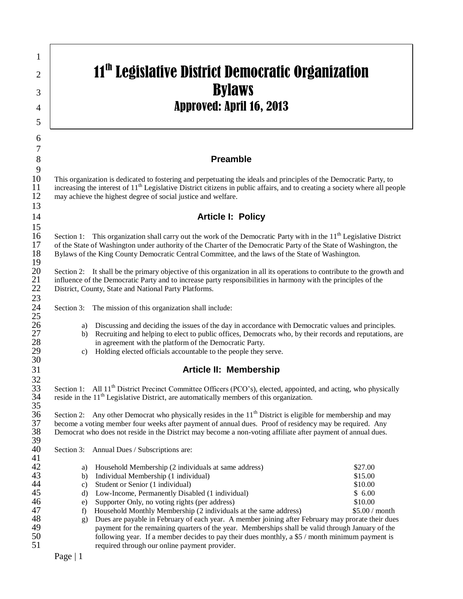## $_2$   $\parallel$   $\parallel$  11<sup>th</sup> Legislative District Democratic Organization  $\overline{3}$  Bylaws  $\frac{4}{4}$  Approved: April 16, 2013

## 8 **Preamble**

10 This organization is dedicated to fostering and perpetuating the ideals and principles of the Democratic Party, to increasing the interest of  $11^{\text{th}}$  Legislative District citizens in public affairs, and to creating increasing the interest of  $11<sup>th</sup>$  Legislative District citizens in public affairs, and to creating a society where all people may achieve the highest degree of social justice and welfare. may achieve the highest degree of social justice and welfare.

## 14 **Article I: Policy**

Section 1: This organization shall carry out the work of the Democratic Party with in the 11<sup>th</sup> Legislative District<br>17 of the State of Washington under authority of the Charter of the Democratic Party of the State of Was 17 of the State of Washington under authority of the Charter of the Democratic Party of the State of Washington, the Bylaws of the King County Democratic Central Committee, and the laws of the State of Washington. 18 Bylaws of the King County Democratic Central Committee, and the laws of the State of Washington.  $\frac{19}{20}$ 

20 Section 2: It shall be the primary objective of this organization in all its operations to contribute to the growth and 21 influence of the Democratic Party and to increase party responsibilities in harmony with the pri 21 influence of the Democratic Party and to increase party responsibilities in harmony with the principles of the<br>22 District, County, State and National Party Platforms. District, County, State and National Party Platforms.

Section 3: The mission of this organization shall include:

- 26 a) Discussing and deciding the issues of the day in accordance with Democratic values and principles.<br>27 b) Recruiting and helping to elect to public offices, Democrats who, by their records and reputations, a
- 27 b) Recruiting and helping to elect to public offices, Democrats who, by their records and reputations, are in agreement with the platform of the Democratic Party. 28 in agreement with the platform of the Democratic Party.<br>29 c) Holding elected officials accountable to the people they
	- 29 c) Holding elected officials accountable to the people they serve.

## 31 **Article II: Membership**

32<br>33 Section 1: All 11<sup>th</sup> District Precinct Committee Officers (PCO's), elected, appointed, and acting, who physically reside in the 11<sup>th</sup> Legislative District, are automatically members of this organization. reside in the  $11<sup>th</sup>$  Legislative District, are automatically members of this organization.

35<br>36 Section 2: Any other Democrat who physically resides in the  $11<sup>th</sup>$  District is eligible for membership and may become a voting member four weeks after payment of annual dues. Proof of residency may be required. Any 37 become a voting member four weeks after payment of annual dues. Proof of residency may be required. Any<br>38 Democrat who does not reside in the District may become a non-voting affiliate after payment of annual dues. Democrat who does not reside in the District may become a non-voting affiliate after payment of annual dues. 39<br>40

Section 3: Annual Dues / Subscriptions are:

| 42                 | a)                   | Household Membership (2 individuals at same address)             | \$27.00        |
|--------------------|----------------------|------------------------------------------------------------------|----------------|
| 43                 | b)                   | Individual Membership (1 individual)                             | \$15.00        |
| 44                 | C)                   | Student or Senior (1 individual)                                 | \$10.00        |
| 45                 | d)                   | Low-Income, Permanently Disabled (1 individual)                  | \$6.00         |
| 46                 |                      | e) Supporter Only, no voting rights (per address)                | \$10.00        |
| 47                 | $\ddot{\phantom{1}}$ | Household Monthly Membership (2 individuals at the same address) | \$5.00 / month |
| $\Lambda$ $\Omega$ |                      |                                                                  | .              |

48 g) Dues are payable in February of each year. A member joining after February may prorate their dues payment for the remaining quarters of the year. Memberships shall be valid through January of the 49 payment for the remaining quarters of the year. Memberships shall be valid through January of the following year. If a member decides to pay their dues monthly, a \$5 / month minimum payment is 50 following year. If a member decides to pay their dues monthly, a \$5 / month minimum payment is required through our online payment provider. required through our online payment provider.

1

5

6 7

 $\frac{9}{10}$ 

13

15

 $\frac{23}{24}$ 

 $\frac{25}{26}$ 

30

41<br>42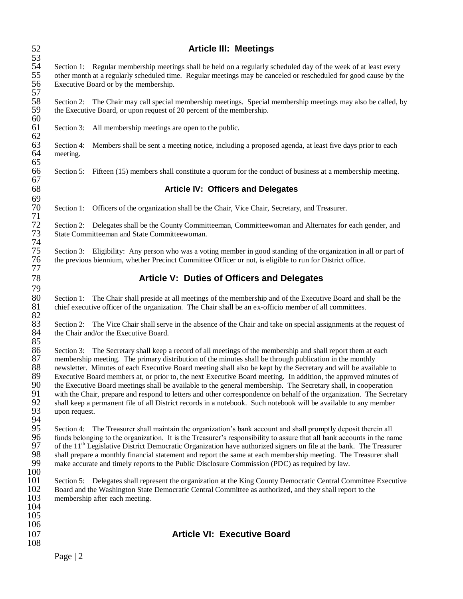| 52<br>53                                           | <b>Article III: Meetings</b>                                                                                                                                                                                                                                                                                                                                                                                                                                                                                                                                                                                                                                                                                                                                                                                                                  |  |  |  |
|----------------------------------------------------|-----------------------------------------------------------------------------------------------------------------------------------------------------------------------------------------------------------------------------------------------------------------------------------------------------------------------------------------------------------------------------------------------------------------------------------------------------------------------------------------------------------------------------------------------------------------------------------------------------------------------------------------------------------------------------------------------------------------------------------------------------------------------------------------------------------------------------------------------|--|--|--|
| 54<br>55<br>56<br>57                               | Section 1: Regular membership meetings shall be held on a regularly scheduled day of the week of at least every<br>other month at a regularly scheduled time. Regular meetings may be canceled or rescheduled for good cause by the<br>Executive Board or by the membership.                                                                                                                                                                                                                                                                                                                                                                                                                                                                                                                                                                  |  |  |  |
| 58<br>59<br>60                                     | Section 2: The Chair may call special membership meetings. Special membership meetings may also be called, by<br>the Executive Board, or upon request of 20 percent of the membership.                                                                                                                                                                                                                                                                                                                                                                                                                                                                                                                                                                                                                                                        |  |  |  |
| 61<br>62                                           | Section 3:<br>All membership meetings are open to the public.                                                                                                                                                                                                                                                                                                                                                                                                                                                                                                                                                                                                                                                                                                                                                                                 |  |  |  |
| 63<br>64<br>65                                     | Section 4:<br>Members shall be sent a meeting notice, including a proposed agenda, at least five days prior to each<br>meeting.                                                                                                                                                                                                                                                                                                                                                                                                                                                                                                                                                                                                                                                                                                               |  |  |  |
| 66<br>67                                           | Section 5: Fifteen (15) members shall constitute a quorum for the conduct of business at a membership meeting.                                                                                                                                                                                                                                                                                                                                                                                                                                                                                                                                                                                                                                                                                                                                |  |  |  |
| 68                                                 | <b>Article IV: Officers and Delegates</b>                                                                                                                                                                                                                                                                                                                                                                                                                                                                                                                                                                                                                                                                                                                                                                                                     |  |  |  |
| 69<br>70<br>71                                     | Section 1: Officers of the organization shall be the Chair, Vice Chair, Secretary, and Treasurer.                                                                                                                                                                                                                                                                                                                                                                                                                                                                                                                                                                                                                                                                                                                                             |  |  |  |
| $72\,$<br>73                                       | Section 2: Delegates shall be the County Committeeman, Committeewoman and Alternates for each gender, and<br>State Committeeman and State Committeewoman.                                                                                                                                                                                                                                                                                                                                                                                                                                                                                                                                                                                                                                                                                     |  |  |  |
| 74<br>75<br>76<br>77                               | Section 3: Eligibility: Any person who was a voting member in good standing of the organization in all or part of<br>the previous biennium, whether Precinct Committee Officer or not, is eligible to run for District office.                                                                                                                                                                                                                                                                                                                                                                                                                                                                                                                                                                                                                |  |  |  |
| 78                                                 | Article V: Duties of Officers and Delegates                                                                                                                                                                                                                                                                                                                                                                                                                                                                                                                                                                                                                                                                                                                                                                                                   |  |  |  |
| 79<br>80<br>81<br>82                               | The Chair shall preside at all meetings of the membership and of the Executive Board and shall be the<br>Section 1:<br>chief executive officer of the organization. The Chair shall be an ex-officio member of all committees.                                                                                                                                                                                                                                                                                                                                                                                                                                                                                                                                                                                                                |  |  |  |
| 83<br>84<br>85                                     | Section 2: The Vice Chair shall serve in the absence of the Chair and take on special assignments at the request of<br>the Chair and/or the Executive Board.                                                                                                                                                                                                                                                                                                                                                                                                                                                                                                                                                                                                                                                                                  |  |  |  |
| 86<br>87<br>88<br>89<br>90<br>91<br>92<br>93<br>94 | Section 3: The Secretary shall keep a record of all meetings of the membership and shall report them at each<br>membership meeting. The primary distribution of the minutes shall be through publication in the monthly<br>newsletter. Minutes of each Executive Board meeting shall also be kept by the Secretary and will be available to<br>Executive Board members at, or prior to, the next Executive Board meeting. In addition, the approved minutes of<br>the Executive Board meetings shall be available to the general membership. The Secretary shall, in cooperation<br>with the Chair, prepare and respond to letters and other correspondence on behalf of the organization. The Secretary<br>shall keep a permanent file of all District records in a notebook. Such notebook will be available to any member<br>upon request. |  |  |  |
| 95<br>96<br>97<br>98<br>99<br>100                  | Section 4: The Treasurer shall maintain the organization's bank account and shall promptly deposit therein all<br>funds belonging to the organization. It is the Treasurer's responsibility to assure that all bank accounts in the name<br>of the 11 <sup>th</sup> Legislative District Democratic Organization have authorized signers on file at the bank. The Treasurer<br>shall prepare a monthly financial statement and report the same at each membership meeting. The Treasurer shall<br>make accurate and timely reports to the Public Disclosure Commission (PDC) as required by law.                                                                                                                                                                                                                                              |  |  |  |
| 101<br>102<br>103<br>104<br>105                    | Section 5: Delegates shall represent the organization at the King County Democratic Central Committee Executive<br>Board and the Washington State Democratic Central Committee as authorized, and they shall report to the<br>membership after each meeting.                                                                                                                                                                                                                                                                                                                                                                                                                                                                                                                                                                                  |  |  |  |
| 106<br>107                                         | <b>Article VI: Executive Board</b>                                                                                                                                                                                                                                                                                                                                                                                                                                                                                                                                                                                                                                                                                                                                                                                                            |  |  |  |
| 108                                                | Page $ 2$                                                                                                                                                                                                                                                                                                                                                                                                                                                                                                                                                                                                                                                                                                                                                                                                                                     |  |  |  |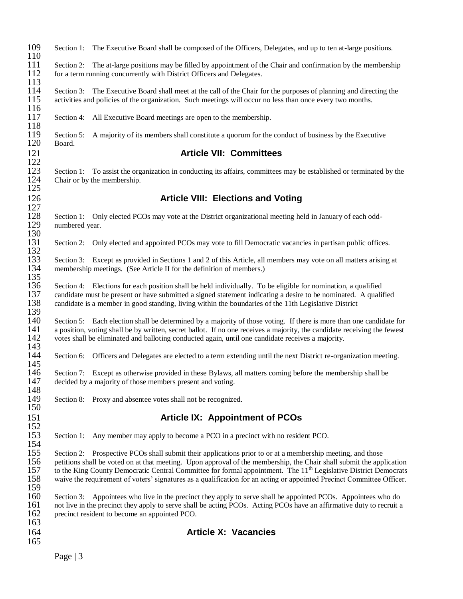| 109<br>110                      | Section 1:                   | The Executive Board shall be composed of the Officers, Delegates, and up to ten at-large positions.                                                                                                                                                                                                                                                                                                                                                                                        |
|---------------------------------|------------------------------|--------------------------------------------------------------------------------------------------------------------------------------------------------------------------------------------------------------------------------------------------------------------------------------------------------------------------------------------------------------------------------------------------------------------------------------------------------------------------------------------|
| 111<br>112                      |                              | Section 2: The at-large positions may be filled by appointment of the Chair and confirmation by the membership<br>for a term running concurrently with District Officers and Delegates.                                                                                                                                                                                                                                                                                                    |
| 113<br>114<br>115               | Section 3:                   | The Executive Board shall meet at the call of the Chair for the purposes of planning and directing the<br>activities and policies of the organization. Such meetings will occur no less than once every two months.                                                                                                                                                                                                                                                                        |
| 116<br>117<br>118               | Section 4:                   | All Executive Board meetings are open to the membership.                                                                                                                                                                                                                                                                                                                                                                                                                                   |
| 119<br>120                      | Section 5:<br>Board.         | A majority of its members shall constitute a quorum for the conduct of business by the Executive                                                                                                                                                                                                                                                                                                                                                                                           |
| 121                             |                              | <b>Article VII: Committees</b>                                                                                                                                                                                                                                                                                                                                                                                                                                                             |
| 122<br>123<br>124               | Section 1:                   | To assist the organization in conducting its affairs, committees may be established or terminated by the<br>Chair or by the membership.                                                                                                                                                                                                                                                                                                                                                    |
| 125<br>126                      |                              | <b>Article VIII: Elections and Voting</b>                                                                                                                                                                                                                                                                                                                                                                                                                                                  |
| 127<br>128<br>129               | Section 1:<br>numbered year. | Only elected PCOs may vote at the District organizational meeting held in January of each odd-                                                                                                                                                                                                                                                                                                                                                                                             |
| 130<br>131<br>132               |                              | Section 2: Only elected and appointed PCOs may vote to fill Democratic vacancies in partisan public offices.                                                                                                                                                                                                                                                                                                                                                                               |
| 133<br>134<br>135               |                              | Section 3: Except as provided in Sections 1 and 2 of this Article, all members may vote on all matters arising at<br>membership meetings. (See Article II for the definition of members.)                                                                                                                                                                                                                                                                                                  |
| 136<br>137<br>138               |                              | Section 4: Elections for each position shall be held individually. To be eligible for nomination, a qualified<br>candidate must be present or have submitted a signed statement indicating a desire to be nominated. A qualified<br>candidate is a member in good standing, living within the boundaries of the 11th Legislative District                                                                                                                                                  |
| 139<br>140<br>141<br>142        |                              | Section 5: Each election shall be determined by a majority of those voting. If there is more than one candidate for<br>a position, voting shall be by written, secret ballot. If no one receives a majority, the candidate receiving the fewest<br>votes shall be eliminated and balloting conducted again, until one candidate receives a majority.                                                                                                                                       |
| 143<br>144<br>145               |                              | Section 6: Officers and Delegates are elected to a term extending until the next District re-organization meeting.                                                                                                                                                                                                                                                                                                                                                                         |
| 146<br>147                      |                              | Section 7: Except as otherwise provided in these Bylaws, all matters coming before the membership shall be<br>decided by a majority of those members present and voting.                                                                                                                                                                                                                                                                                                                   |
| 148<br>149<br>150               |                              | Section 8: Proxy and absentee votes shall not be recognized.                                                                                                                                                                                                                                                                                                                                                                                                                               |
| 151                             |                              | <b>Article IX: Appointment of PCOs</b>                                                                                                                                                                                                                                                                                                                                                                                                                                                     |
| 152<br>153<br>154               | Section 1:                   | Any member may apply to become a PCO in a precinct with no resident PCO.                                                                                                                                                                                                                                                                                                                                                                                                                   |
| 155<br>156<br>157<br>158<br>159 |                              | Section 2: Prospective PCOs shall submit their applications prior to or at a membership meeting, and those<br>petitions shall be voted on at that meeting. Upon approval of the membership, the Chair shall submit the application<br>to the King County Democratic Central Committee for formal appointment. The 11 <sup>th</sup> Legislative District Democrats<br>waive the requirement of voters' signatures as a qualification for an acting or appointed Precinct Committee Officer. |
| 160<br>161<br>162<br>163        |                              | Section 3: Appointees who live in the precinct they apply to serve shall be appointed PCOs. Appointees who do<br>not live in the precinct they apply to serve shall be acting PCOs. Acting PCOs have an affirmative duty to recruit a<br>precinct resident to become an appointed PCO.                                                                                                                                                                                                     |
| 164<br>165                      |                              | <b>Article X: Vacancies</b>                                                                                                                                                                                                                                                                                                                                                                                                                                                                |